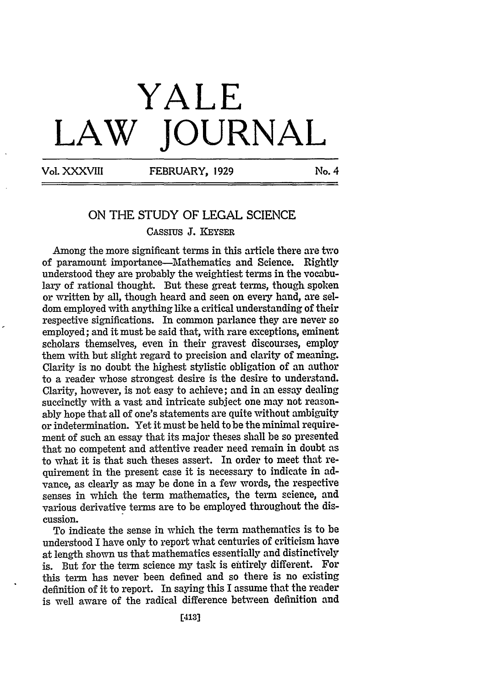# **YALE LAW JOURNAL**

Vol. XXXVIII FEBRUARY, 1929 No. 4

# ON THE STUDY OF LEGAL SCIENCE CASSIUS **J.** KEYSER

Among the more significant terms in this article there are two of paramount importance—Mathematics and Science. Rightly understood they are probably the weightiest terms in the vocabulary of rational thought. But these great terms, though spoken or written **by** all, though heard and seen on every hand, are seldom employed with anything like a critical understanding of their respective significations. In common parlance they are never so employed; and it must be said that, with rare exceptions, eminent scholars themselves, even in their gravest discourses, employ them with but slight regard to precision and clarity of meaning. Clarity is no doubt the highest stylistic obligation of an author to a reader whose strongest desire is the desire to understand. Clarity, however, is not easy to achieve; and in an essay dealing succinctly with a vast and intricate subject one may not reasonably hope that all of one's statements are quite without ambiguity or indetermination. Yet it must be held to be the minimal requirement of such an essay that its major theses shall be so presented that no competent and attentive reader need remain in doubt as to what it is that such theses assert. In order to meet that requirement in the present case it is necessary to indicate in advance, as clearly as may be done in a few words, the respective senses in which the term mathematics, the term science, and various derivative terms are to be employed throughout the discussion.

To indicate the sense in which the term mathematics is to be understood I have only to report what centuries of criticism have at length shown us that mathematics essentially and distinctively is. But for the term science my task is enitirely different. For this term has never been defined and so there is no existing definition of it to report. In saying this I assume that the reader is well aware of the radical difference between definition and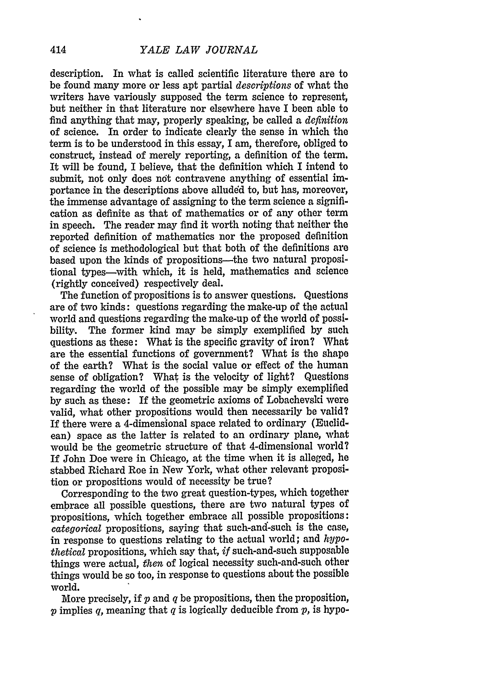description. In what is called scientific literature there are to be found many more or less apt partial *descriptions* of what the writers have variously supposed the term science to represent, but neither in that literature nor elsewhere have I been able to find anything that may, properly speaking, be called a *definition* of science. In order to indicate clearly the sense in which the term is to be understood in this essay, I am, therefore, obliged to construct, instead of merely reporting, a definition of the term. It will be found, I believe, that the definition which **I** intend to submit, not only does not contravene anything of essential importance in the descriptions above alluded to, but has, moreover, the immense advantage of assigning to the term science a signification as definite as that of mathematics or of any other term in speech. The reader may find it worth noting that neither the reported definition of mathematics nor the proposed definition of science is methodological but that both of the definitions are based upon the kinds of propositions-the two natural propositional types-with which, it is held, mathematics and science (rightly conceived) respectively deal.

The function of propositions is to answer questions. Questions are of two kinds: questions regarding the make-up of the actual world and questions regarding the make-up of the world of possibility. The former kind may be simply exemplified by such questions as these: What is the specific gravity of iron? What are the essential functions of government? What is the shape of the earth? What is the social value or effect of the human sense of obligation? What is the velocity of light? Questions regarding the world of the possible may be simply exemplified by such as these: If the geometric axioms of Lobachevski were valid, what other propositions would then necessarily be valid? If there were a 4-dimensional space related to ordinary (Euclidean) space as the latter is related to an ordinary plane, what would be the geometric structure of that 4-dimensional world? **If** John Doe were in Chicago, at the time when it is alleged, he stabbed Richard Roe in New York, what other relevant proposition or propositions would of necessity be true?

Corresponding to the two great question-types, which together embrace all possible questions, there are two natural types of propositions, which together embrace all possible propositions: *categorical* propositions, saying that such-and-such is the case, in response to questions relating to the actual world; and *hypothetical* propositions, which say that, *if* such-and-such supposable things were actual, *then* of logical necessity such-and-such other things would be so too, in response to questions about the possible world.

More precisely, if **p** and q be propositions, then the proposition, p implies q, meaning that q is logically deducible from  $p$ , is hypo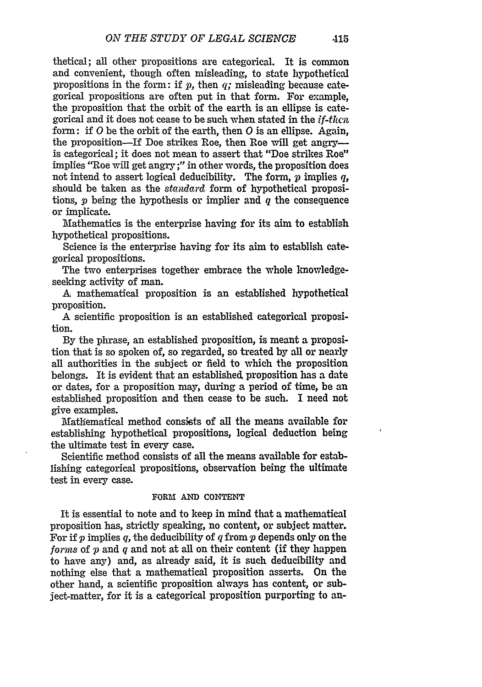thetical; all other propositions are categorical. It is common and convenient, though often misleading, to state hypothetical propositions in the form: if  $p$ , then  $q$ ; misleading because categorical propositions are often put in that form. For example, the proposition that the orbit of the earth is an ellipse is categorical and it does not cease to be such when stated in the *if-then* form: if *0* be the orbit of the earth, then *0* is **an** ellipse. Again, the proposition-If Doe strikes Roe, then Roe will get angryis categorical; it does not mean to assert that "Doe strikes Roe" implies "Roe will get angry;" in other words, the proposition does not intend to assert logical deducibility. The form, **p** implies q, should be taken as the *standard* form of hypothetical propositions, **p** being the hypothesis or implier and q the consequence or implicate.

Mathematics is the enterprise having for its aim to establish hypothetical propositions.

Science is the enterprise having for its aim to establish categorical propositions.

The two enterprises together embrace the whole knowledgeseeking activity of man.

**A** mathematical proposition is an established hypothetical proposition.

A scientific proposition is an established categorical proposition.

By the phrase, an established proposition, is meant a proposition that is so spoken of, so regarded, so treated by all or nearly all authorities in the subject or field to which the proposition belongs. It is evident that an established proposition has a date or dates, for a proposition may, during a period of time, be an established proposition and then cease to be such. I need not give examples.

Mathematical method consists of all the means available for establishing hypothetical propositions, logical deduction being the ultimate test in every case.

Scientific method consists of all the means available for establishing categorical propositions, observation being the ultimate test in every case.

# FORM **AND CONTENT**

It is essential to note and to keep in mind that a mathematical proposition has, strictly speaking, no content, or subject matter. For if  $p$  implies  $q$ , the deducibility of  $q$  from  $p$  depends only on the *forms* of  $p$  and  $q$  and not at all on their content (if they happen to have any) and, as already said, it is such deducibility and nothing else that a mathematical proposition asserts. On the other hand, a scientific proposition always has content, or subject-matter, for it is a categorical proposition purporting to an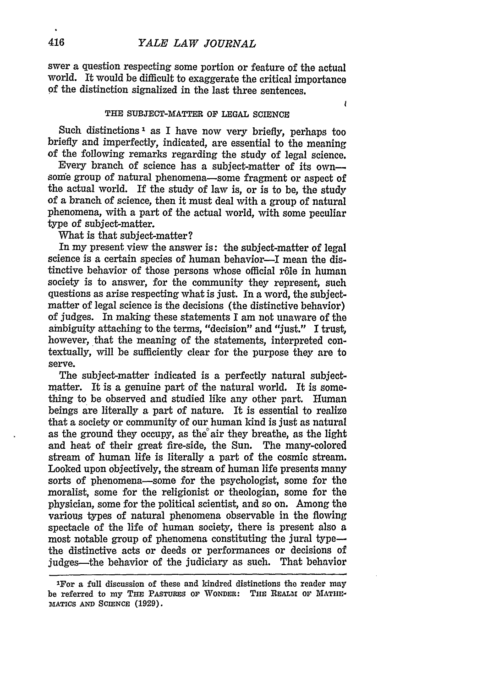swer a question respecting some portion or feature of the actual world. It would be difficult to exaggerate the critical importance of the distinction signalized in the last three sentences.

# THE **SUBJECT-MATTER OF LEGAL SCIENCE**

 $\mathbf{I}$ 

Such distinctions **1** as I have now very briefly, perhaps too briefly and imperfectly, indicated, are essential to the meaning of the following remarks regarding the study of legal science.

Every branch of science has a subject-matter of its ownsome group of natural phenomena-some fragment or aspect of the actual world. **If** the study of law is, or is to be, the study of a branch of science, then it must deal with a group of natural phenomena, with a part of the actual world, with some peculiar type of subject-matter.

What is that subject-matter?

In my present view the answer is: the subject-matter of legal science is a certain species of human behavior-I mean the distinctive behavior of those persons whose official rôle in human society is to answer, for the community they represent, such questions as arise respecting what is just. In a word, the subjectmatter of legal science is the decisions (the distinctive behavior) of judges. In making these statements **I** am not unaware of the ambiguity attaching to the terms, "decision" and "just." **I** trust, however, that the meaning of the statements, interpreted contextually, will be sufficiently clear for the purpose they are to serve.

The subject-matter indicated is a perfectly natural subjectmatter. It is a genuine part of the natural world. It is something to be observed and studied like any other part. Human beings are literally a part of nature. It is essential to realize that a society or community of our human kind is just as natural as the ground they occupy, as the air they breathe, as the light and heat of their great fire-side, the Sun. The many-colored stream of human life is literally a part of the cosmic stream. Looked upon objectively, the stream of human life presents many sorts of phenomena—some for the psychologist, some for the moralist, some for the religionist or theologian, some for the physician, some for the political scientist, and so on. Among the various types of natural phenomena observable in the flowing spectacle of the life of human society, there is present also a most notable group of phenomena constituting the jural typethe distinctive acts or deeds or performances or decisions of judges-the behavior of the judiciary as such. That behavior

<sup>1</sup>For a **full** discussion of these and kindred distinctions the reader may be referred to my THE PASTURES OF WONDER: THE REALM OF MATHE-**MIATICS AND SCIENCE (1929).**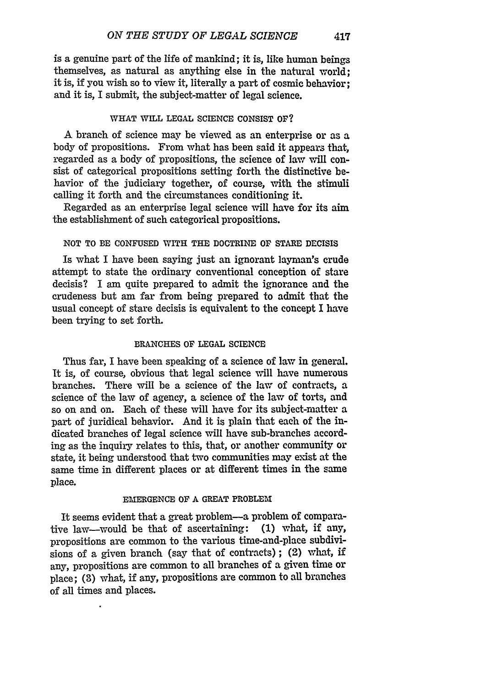is a genuine part of the life of mankind; it is, like human beings themselves, as natural as anything else in the natural world; it is, if you wish so to view it, literally a part of cosmic behavior; and it is, I submit, the subject-matter of legal science.

### WHAT WILL LEGAL SCIENCE CONSIST OF?

A branch of science may be viewed as an enterprise or as a body of propositions. From what has been said it appears that, regarded as a body of propositions, the science of law will consist of categorical propositions setting forth the distinctive behavior of the judiciary together, of course, with the stimuli calling it forth and the circumstances conditioning it.

Regarded as an enterprise legal science will have for its **aim** the establishment of such categorical propositions.

#### **NOT TO BE CONFUSED** WITH **THE DOCTRINE OF** STARE **DECISIS**

Is what I have been saying just an ignorant layman's crude attempt to state the ordinary conventional conception of stare decisis? I am quite prepared to admit the ignorance **and** the crudeness but am far from being prepared to admit that the usual concept of stare decisis is equivalent to the concept I have been trying to set forth.

# **BRANCHES OF LEGAL SCIENCE**

Thus far, I have been speaking of a science of law in general. It is, of course, obvious that legal science will have numerous branches. There will be a science of the law of contracts, a science of the law of agency, a science of the law of torts, and so on and on. Each of these will have for its subject-matter a part of juridical behavior. And it is plain that each of the indicated branches of legal science will have sub-branches according as the inquiry relates to this, that, or another community or state, it being understood that two communities may exist at the same time in different places or at different times in the same place.

#### **EMERGENCE OF A GREAT PROBLEM**

It seems evident that a great problem-a problem of comparative law-would be that of ascertaining: **(1)** what, if any, propositions are common to the various time-and-place subdivisions of a given branch (say that of contracts) **;** (2) what, if any, propositions are common to all branches of a given time or place; **(3)** what, if any, propositions are common to all branches of all times and places.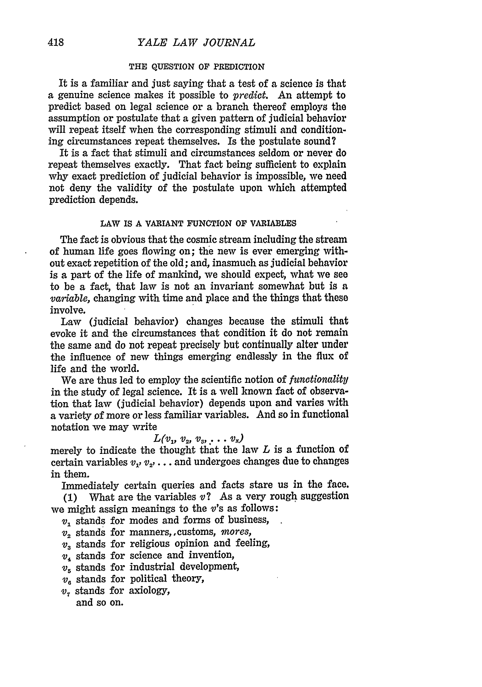#### THE **QUESTION** OF PREDICTION

It is a familiar and just saying that a test of a science is that a genuine science makes it possible to *predict.* An attempt to predict based on legal science or a branch thereof employs the assumption or postulate that a given pattern of judicial behavior will repeat itself when the corresponding stimuli and conditioning circumstances repeat themselves. Is the postulate sound?

It is a fact that stimuli and circumstances seldom or never do repeat themselves exactly. That fact being sufficient to explain why exact prediction of judicial behavior is impossible, we need not deny the validity of the postulate upon which attempted prediction depends.

#### LAW **IS A** VARIANT **FUNCTION OF** VARIABLES

The fact is obvious that the cosmic stream including the stream of human life goes flowing on; the new is ever emerging without exact repetition of the old; and, inasmuch as judicial behavior is a part of the life of mankind, we should expect, what we see to be a fact, that law is not an invariant somewhat but is a *variable,* changing with time and place and the things that these involve.

Law (judicial behavior) changes because the stimuli that evoke it and the circumstances that condition it do not remain the same and do not repeat precisely but continually alter under the influence of new things emerging endlessly in the flux of life and the world.

We are thus led to employ the scientific notion of *functionality* in the study of legal science. It is a well known fact of observation that law (judicial behavior) depends upon and varies with a variety of more or less familiar variables. And so in functional notation we may write

# $L(v_1, v_2, v_3, \ldots, v_x)$

merely to indicate the thought that the law *L* is a function of certain variables  $v_1, v_2, \ldots$  and undergoes changes due to changes in them.

Immediately certain queries and facts stare us in the face.

(1) What are the variables *v?* As a very rough suggestion we might assign meanings to the  $v$ 's as follows:

*v,* stands for modes and forms of business,

*v2* stands for manners, *,* customs, *mores,*

*v,* stands for religious opinion and feeling,

*v,* stands for science and invention,

*v,* stands for industrial development,

*v,* stands for political theory,

*v7* stands for axiology,

and so on.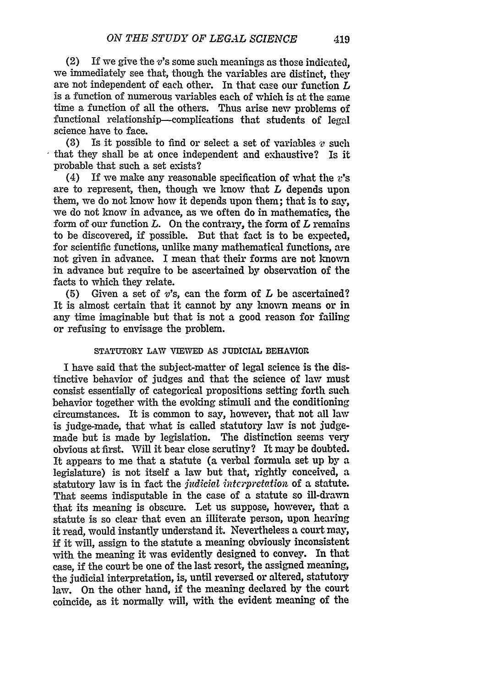(2) If we give the  $v$ 's some such meanings as those indicated, we immediately see that, though the variables are distinct, they are not independent of each other. In that case our function *L* is a function of numerous variables each of which is at the same time a function of all the others. Thus arise new problems of functional relationship-complications that students of legal science have to face.

(3) Is it possible to find or select a set of variables *v* such  $\cdot$  that they shall be at once independent and exhaustive? Is it probable that such a set exists?

(4) If we make any reasonable specification of what the  $v$ 's are to represent, then, though we know that *L* depends upon them, we do not know how it depends upon them; that is to say, we do not know in advance, as we often do in mathematics, the form of our function *L.* On the contrary, the form of *L* remains to be discovered, if possible. But that fact is to be expected, for scientific functions, unlike many mathematical functions, are not given in advance. I mean that their forms are not known in advance but require to be ascertained by observation of the facts to which they relate.

**(5)** Given a set of *v's,* can the form of *L* be ascertained? It is almost certain that it cannot by any known means or in any time imaginable but that is not a good reason for failing or refusing to envisage the problem.

#### STATUTORY LAW VIEWED **AS** JUDICIAL **BEHAVIOR**

I have said that the subject-matter of legal science is the distinctive behavior of judges and that the science of law must consist essentially of categorical propositions setting forth such behavior together with the evoking stimuli and the conditioning circumstances. It is common to say, however, that not all law is judge-made, that what is called statutory law is not judgemade but is made by legislation. The distinction seems very obvious at first. Will it bear close scrutiny? It may be doubted. It appears to me that a statute (a verbal formula set up by a legislature) is not itself a law but that, rightly conceived, a statutory law is in fact the *judicial interpretation* of a statute. That seems indisputable in the case of a statute so ill-drawn that its meaning is obscure. Let us suppose, however, that a statute is so clear that even an illiterate person, upon hearing it read, would instantly understand it. Nevertheless a cout may, if it will, assign to the statute a meaning obviously inconsistent with the meaning it was evidently designed to convey. In that case, if the court be one of the last resort, the assigned meaning, the judicial interpretation, is, until reversed or altered, statutory law. On the other hand, if the meaning declared by the court coincide, as it normally will, with the evident meaning of the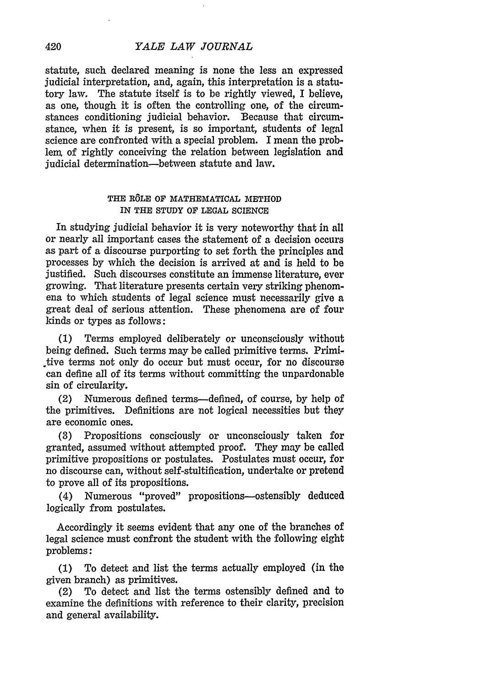# *YALE LAW JOURNAL*

statute, such declared meaning is none the less an expressed judicial interpretation, and, again, this interpretation is a statutory law. The statute itself is to be rightly viewed, I believe, as one, though it is often the controlling one, of the circumstances conditioning judicial behavior. Because that circumstance, when it is present, is so important, students of legal science are confronted with a special problem. I mean the problem of rightly conceiving the relation between legislation and judicial determination-between statute and law.

# **THE ROLE OF MATHEMATICAL** METHOD **IN THE STUDY** OF **LEGAL SCIENCE**

In studying judicial behavior it is very noteworthy that in all or nearly all important cases the statement of a decision occurs as part of a discourse purporting to set forth the principles and processes **by** which the decision is arrived at and is held to **be** justified. Such discourses constitute an immense literature, ever growing. That literature presents certain very striking phenomena to which students of legal science must necessarily give a great deal of serious attention. These phenomena are of four kinds or types as follows:

(1) Terms employed deliberately or unconsciously without being defined. Such terms may be called primitive terms. Primitive terms not only do occur but must occur, for no discourse can define all of its terms without committing the unpardonable sin of circularity.

(2) Numerous defined terms—defined, of course, by help of the primitives. Definitions are not logical necessities but they are economic ones.

(3) Propositions consciously or unconsciously taken for granted, assumed without attempted proof. They may be called primitive propositions or postulates. Postulates must occur, for no discourse can, without self-stultification, undertake or pretend to prove all of its propositions.

(4) Numerous "proved" propositions-ostensibly deduced logically from postulates.

Accordingly it seems evident that any one of the branches of legal science must confront the student with the following eight problems:

**(1)** To detect and list the terms actually employed (in the given branch) as primitives.

(2) To detect and list the terms ostensibly defined and to examine the definitions with reference to their clarity, precision and general availability.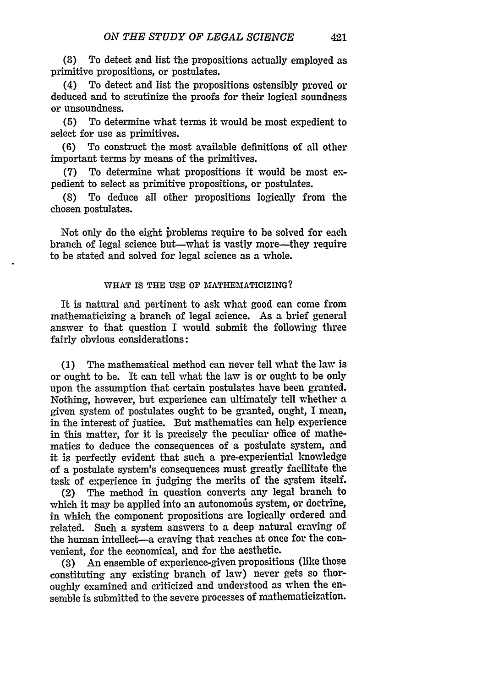**(3)** To detect and list the propositions actually employed as primitive propositions, or postulates.

(4) To detect and list the propositions ostensibly proved or deduced and to scrutinize the proofs for their logical soundness or unsoundness.

**(5)** To determine what terms it would be most expedient to select for use as primitives.

(6) To construct the most available definitions of all other important terms by means of the primitives.

(7) To determine what propositions it would be most expedient to select as primitive propositions, or postulates.

(8) To deduce all other propositions logically from the chosen postulates.

Not only do the eight problems require to be solved for each branch of legal science but-what is vastly more-they require to be stated and solved for legal science as a whole.

# WHAT IS THE **USE OF** MATHEMATICIZING?

It is natural and pertinent to ask what good can come from mathematicizing a branch of legal science. As a brief general answer to that question I would submit the following three fairly obvious considerations:

(1) The mathematical method can never tell what the law is or ought to be. It can tell what the law is or ought to be only upon the assumption that certain postulates have been granted. Nothing, however, but experience can ultimately tell whether a given system of postulates ought to be granted, ought, I mean, in the interest of justice. But mathematics can help experience in this matter, for it is precisely the peculiar office of mathematics to deduce the consequences of a postulate system, and it is perfectly evident that such a pre-experiential knowledge of a postulate system's consequences must greatly facilitate the task of experience in judging the merits of the system itself.

(2) The method in question converts any legal branch to which it may be applied into an autonomous system, or doctrine, in which the component propositions are logically ordered and related. Such a system answers to a deep natural craving of the human intellect-a craving that reaches at once for the convenient, for the economical, and for the aesthetic.

**(3)** An ensemble of experience-given propositions (like those constituting any existing branch of law) never gets so thoroughly examined and criticized and understood as when the ensemble is submitted to the severe processes of mathematicization.